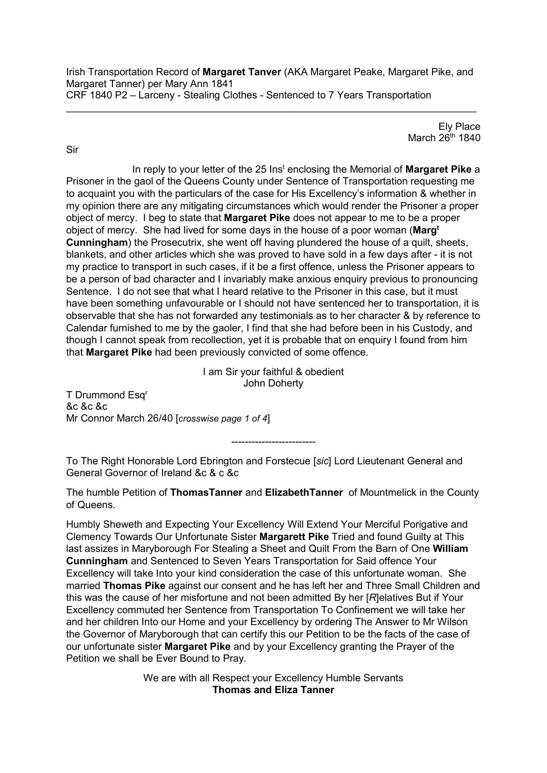Irish Transportation Record of **Margaret Tanver** (AKA Margaret Peake, Margaret Pike, and Margaret Tanner) per Mary Ann 1841 CRF 1840 P2 – Larceny - Stealing Clothes - Sentenced to 7 Years Transportation

 $\_$  , and the set of the set of the set of the set of the set of the set of the set of the set of the set of the set of the set of the set of the set of the set of the set of the set of the set of the set of the set of th

Ely Place March  $26<sup>th</sup>$  1840

Sir

In reply to your letter of the 25 Inst enclosing the Memorial of **Margaret Pike** a Prisoner in the gaol of the Queens County under Sentence of Transportation requesting me to acquaint you with the particulars of the case for His Excellency's information & whether in my opinion there are any mitigating circumstances which would render the Prisoner a proper object of mercy. I beg to state that **Margaret Pike** does not appear to me to be a proper object of mercy. She had lived for some days in the house of a poor woman (**Margt Cunningham**) the Prosecutrix, she went off having plundered the house of a quilt, sheets, blankets, and other articles which she was proved to have sold in a few days after - it is not my practice to transport in such cases, if it be a first offence, unless the Prisoner appears to be a person of bad character and I invariably make anxious enquiry previous to pronouncing Sentence. I do not see that what I heard relative to the Prisoner in this case, but it must have been something unfavourable or I should not have sentenced her to transportation, it is observable that she has not forwarded any testimonials as to her character & by reference to Calendar furnished to me by the gaoler, I find that she had before been in his Custody, and though I cannot speak from recollection, yet it is probable that on enquiry I found from him that **Margaret Pike** had been previously convicted of some offence.

> I am Sir your faithful & obedient John Doherty

T Drummond Esq<sup>r</sup> &c &c &c Mr Connor March 26/40 [*crosswise page 1 of 4*]

-------------------------

To The Right Honorable Lord Ebrington and Forstecue [*sic*] Lord Lieutenant General and General Governor of Ireland &c & c &c

The humble Petition of **ThomasTanner** and **ElizabethTanner** of Mountmelick in the County of Queens.

Humbly Sheweth and Expecting Your Excellency Will Extend Your Merciful Porigative and Clemency Towards Our Unfortunate Sister **Margarett Pike** Tried and found Guilty at This last assizes in Maryborough For Stealing a Sheet and Quilt From the Barn of One **William Cunningham** and Sentenced to Seven Years Transportation for Said offence Your Excellency will take Into your kind consideration the case of this unfortunate woman. She married **Thomas Pike** against our consent and he has left her and Three Small Children and this was the cause of her misfortune and not been admitted By her [*R*]elatives But if Your Excellency commuted her Sentence from Transportation To Confinement we will take her and her children Into our Home and your Excellency by ordering The Answer to Mr Wilson the Governor of Maryborough that can certify this our Petition to be the facts of the case of our unfortunate sister **Margaret Pike** and by your Excellency granting the Prayer of the Petition we shall be Ever Bound to Pray.

> We are with all Respect your Excellency Humble Servants **Thomas and Eliza Tanner**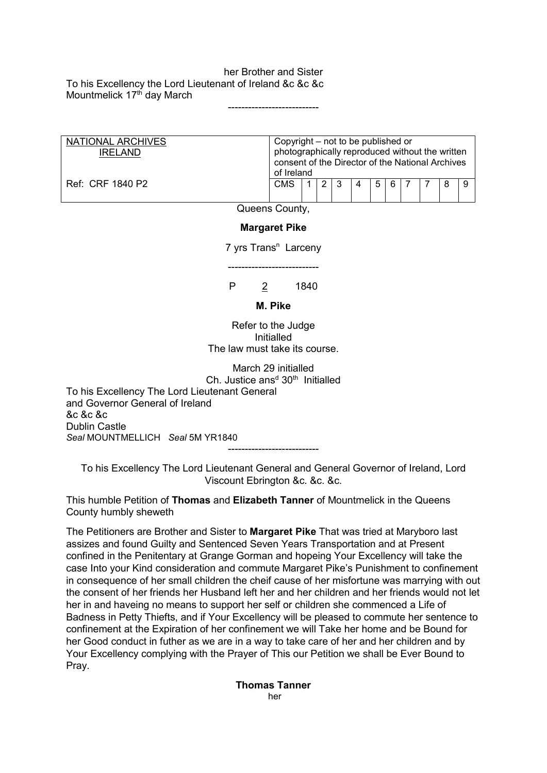her Brother and Sister To his Excellency the Lord Lieutenant of Ireland &c &c &c Mountmelick 17<sup>th</sup> day March

| NATIONAL ARCHIVES<br><b>IRELAND</b> | Copyright – not to be published or<br>photographically reproduced without the written<br>consent of the Director of the National Archives<br>of Ireland |  |  |   |  |   |       |  |  |   |  |
|-------------------------------------|---------------------------------------------------------------------------------------------------------------------------------------------------------|--|--|---|--|---|-------|--|--|---|--|
| Ref: CRF 1840 P2                    | <b>CMS</b>                                                                                                                                              |  |  | 3 |  | 5 | - 6 - |  |  | 8 |  |

---------------------------

Queens County,

## **Margaret Pike**

7 yrs Trans<sup>n</sup> Larceny

---------------------------

P 2 1840

## **M. Pike**

Refer to the Judge Initialled The law must take its course.

March 29 initialled Ch. Justice ans<sup>d  $30<sup>th</sup>$  Initialled</sup>

To his Excellency The Lord Lieutenant General and Governor General of Ireland &c &c &c Dublin Castle *Seal* MOUNTMELLICH *Seal* 5M YR1840

To his Excellency The Lord Lieutenant General and General Governor of Ireland, Lord Viscount Ebrington &c. &c. &c.

---------------------------

This humble Petition of **Thomas** and **Elizabeth Tanner** of Mountmelick in the Queens County humbly sheweth

The Petitioners are Brother and Sister to **Margaret Pike** That was tried at Maryboro last assizes and found Guilty and Sentenced Seven Years Transportation and at Present confined in the Penitentary at Grange Gorman and hopeing Your Excellency will take the case Into your Kind consideration and commute Margaret Pike's Punishment to confinement in consequence of her small children the cheif cause of her misfortune was marrying with out the consent of her friends her Husband left her and her children and her friends would not let her in and haveing no means to support her self or children she commenced a Life of Badness in Petty Thiefts, and if Your Excellency will be pleased to commute her sentence to confinement at the Expiration of her confinement we will Take her home and be Bound for her Good conduct in futher as we are in a way to take care of her and her children and by Your Excellency complying with the Prayer of This our Petition we shall be Ever Bound to Pray.

> **Thomas Tanner** her